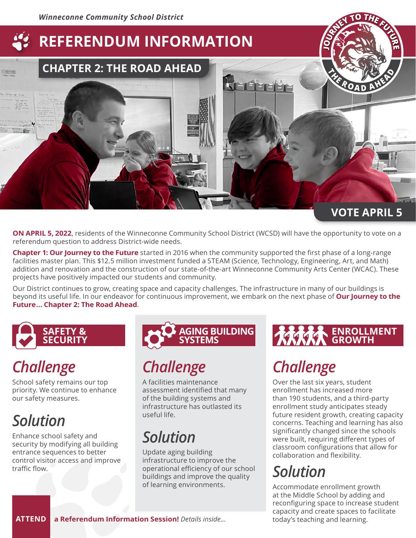## **REFERENDUM INFORMATION**

# **CHAPTER 2: THE ROAD AHEAD**

### **VOTE APRIL 5**

**<sup>V</sup> <sup>O</sup> <sup>T</sup><sup>E</sup> <sup>A</sup> <sup>P</sup> <sup>R</sup> <sup>I</sup><sup>L</sup> <sup>5</sup>**

**<sup>O</sup>URNE<sup>Y</sup> <sup>T</sup><sup>O</sup> <sup>T</sup>H<sup>E</sup> <sup>F</sup>UTUR<sup>E</sup>**

**<sup>O</sup>URNE<sup>Y</sup> <sup>T</sup><sup>O</sup> <sup>T</sup>H<sup>E</sup> <sup>F</sup>UTUR<sup>E</sup>**

**<sup>A</sup> <sup>H</sup><sup>E</sup> <sup>A</sup> <sup>D</sup>**

**<sup>A</sup> <sup>H</sup><sup>E</sup> <sup>A</sup> <sup>D</sup>**

**<sup>T</sup>H<sup>E</sup> <sup>R</sup>O<sup>A</sup> <sup>D</sup>**

**<sup>T</sup>H<sup>E</sup> <sup>R</sup>O<sup>A</sup> <sup>D</sup>**

**J**

**J**

**ON APRIL 5, 2022**, residents of the Winneconne Community School District (WCSD) will have the opportunity to vote on a referendum question to address District-wide needs.

**Chapter 1: Our Journey to the Future** started in 2016 when the community supported the first phase of a long-range facilities master plan. This \$12.5 million investment funded a STEAM (Science, Technology, Engineering, Art, and Math) addition and renovation and the construction of our state-of-the-art Winneconne Community Arts Center (WCAC). These projects have positively impacted our students and community.

Our District continues to grow, creating space and capacity challenges. The infrastructure in many of our buildings is beyond its useful life. In our endeavor for continuous improvement, we embark on the next phase of **Our Journey to the Future … Chapter 2: The Road Ahead**.



## *Challenge*

School safety remains our top priority. We continue to enhance our safety measures.

## *Solution*

Enhance school safety and security by modifying all building entrance sequences to better control visitor access and improve traffic flow.



## *Challenge*

A facilities maintenance assessment identified that many of the building systems and infrastructure has outlasted its useful life.

## *Solution*

Update aging building infrastructure to improve the operational efficiency of our school buildings and improve the quality of learning environments.

### **ENROLLMENT GROWTH**

## *Challenge*

Over the last six years, student enrollment has increased more than 190 students, and a third-party enrollment study anticipates steady future resident growth, creating capacity concerns. Teaching and learning has also significantly changed since the schools were built, requiring different types of classroom configurations that allow for collaboration and flexibility.

## *Solution*

Accommodate enrollment growth at the Middle School by adding and reconfiguring space to increase student capacity and create spaces to facilitate<br>today's teaching and learning.

**ATTEND a Referendum Information Session!** Details inside...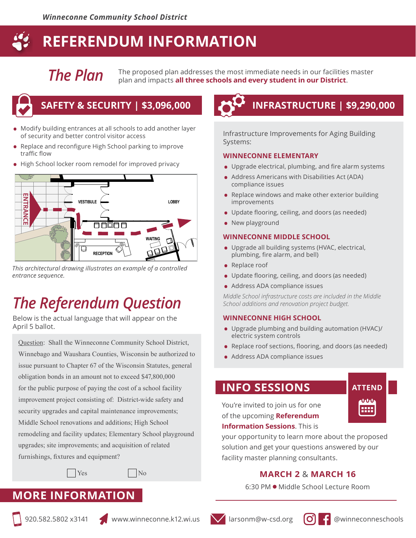### **REFERENDUM INFORMATION**

*The Plan*

The proposed plan addresses the most immediate needs in our facilities master plan and impacts **all three schools and every student in our District**.



- Modify building entrances at all schools to add another layer of security and better control visitor access
- Replace and reconfigure High School parking to improve traffic flow
- High School locker room remodel for improved privacy



*This architectural drawing illustrates an example of a controlled entrance sequence.*

## *The Referendum Question*

Below is the actual language that will appear on the April 5 ballot.

Question: Shall the Winneconne Community School District, Winnebago and Waushara Counties, Wisconsin be authorized to issue pursuant to Chapter 67 of the Wisconsin Statutes, general obligation bonds in an amount not to exceed \$47,800,000 for the public purpose of paying the cost of a school facility improvement project consisting of: District-wide safety and security upgrades and capital maintenance improvements; Middle School renovations and additions; High School remodeling and facility updates; Elementary School playground upgrades; site improvements; and acquisition of related furnishings, fixtures and equipment?

 $Yes$  No

### **MORE INFORMATION**

## **SAFETY & SECURITY | \$3,096,000 INFRASTRUCTURE | \$9,290,000**

Infrastructure Improvements for Aging Building Systems:

#### **WINNECONNE ELEMENTARY**

- Upgrade electrical, plumbing, and fire alarm systems
- Address Americans with Disabilities Act (ADA) compliance issues
- Replace windows and make other exterior building improvements
- Update flooring, ceiling, and doors (as needed)
- New playground

#### **WINNECONNE MIDDLE SCHOOL**

- Upgrade all building systems (HVAC, electrical, plumbing, fire alarm, and bell)
- Replace roof
- Update flooring, ceiling, and doors (as needed)
- Address ADA compliance issues

*Middle School infrastructure costs are included in the Middle School additions and renovation project budget.*

#### **WINNECONNE HIGH SCHOOL**

- Upgrade plumbing and building automation (HVAC)/ electric system controls
- Replace roof sections, flooring, and doors (as needed)
- Address ADA compliance issues

### **INFO SESSIONS**

You're invited to join us for one of the upcoming **Referendum Information Sessions**. This is



your opportunity to learn more about the proposed solution and get your questions answered by our facility master planning consultants.

### **MARCH 2** & **MARCH 16**

6:30 PM ● Middle School Lecture Room





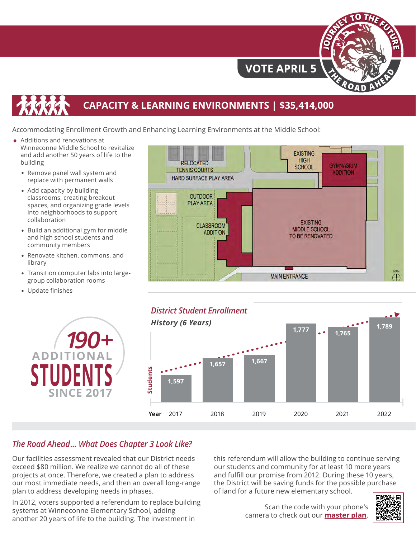

### **VOTE APRIL 5**

### **CAPACITY & LEARNING ENVIRONMENTS | \$35,414,000**

Accommodating Enrollment Growth and Enhancing Learning Environments at the Middle School:

- Additions and renovations at Winneconne Middle School to revitalize and add another 50 years of life to the building
	- **•** Remove panel wall system and replace with permanent walls
	- **•** Add capacity by building classrooms, creating breakout spaces, and organizing grade levels into neighborhoods to support collaboration
	- **•** Build an additional gym for middle and high school students and community members
	- **•** Renovate kitchen, commons, and library
	- **•** Transition computer labs into largegroup collaboration rooms
	- **•** Update finishes







### *The Road Ahead ... What Does Chapter 3 Look Like?*

Our facilities assessment revealed that our District needs exceed \$80 million. We realize we cannot do all of these projects at once. Therefore, we created a plan to address our most immediate needs, and then an overall long-range plan to address developing needs in phases.

In 2012, voters supported a referendum to replace building systems at Winneconne Elementary School, adding another 20 years of life to the building. The investment in

this referendum will allow the building to continue serving our students and community for at least 10 more years and fulfill our promise from 2012. During these 10 years, the District will be saving funds for the possible purchase of land for a future new elementary school.

> Scan the code with your phone's camera to check out our **[master plan](http://www.winneconne.k12.wi.us/common/pages/DisplayFile.aspx?itemId=37985061 )**.